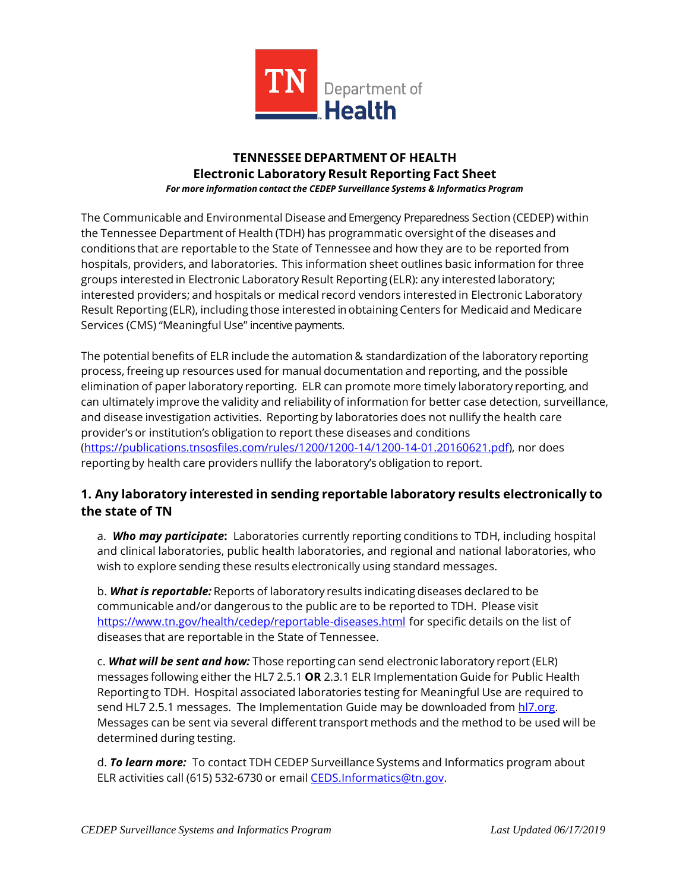

## **TENNESSEE DEPARTMENT OF HEALTH Electronic Laboratory Result Reporting Fact Sheet** *For more information contact the CEDEP Surveillance Systems & Informatics Program*

The Communicable and Environmental Disease and Emergency Preparedness Section (CEDEP) within the Tennessee Department of Health (TDH) has programmatic oversight of the diseases and conditions that are reportable to the State of Tennessee and how they are to be reported from hospitals, providers, and laboratories. This information sheet outlines basic information for three groups interested in Electronic Laboratory Result Reporting (ELR): any interested laboratory; interested providers; and hospitals or medical record vendors interested in Electronic Laboratory Result Reporting (ELR), including those interested in obtaining Centers for Medicaid and Medicare Services (CMS) "Meaningful Use" incentive payments.

The potential benefits of ELR include the automation & standardization of the laboratory reporting process, freeing up resources used for manual documentation and reporting, and the possible elimination of paper laboratory reporting. ELR can promote more timely laboratory reporting, and can ultimately improve the validity and reliability of information for better case detection, surveillance, and disease investigation activities. Reporting by laboratories does not nullify the health care provider's or institution's obligation to report these diseases and conditions [\(https://publications.tnsosfiles.com/rules/1200/1200-14/1200-14-01.20160621.pdf\)](https://apps.health.tn.gov/ReportableDiseases), nor does reporting by health care providers nullify the laboratory's obligation to report.

## **1. Any laboratory interested in sending reportable laboratory results electronically to the state of TN**

a. *Who may participate***:** Laboratories currently reporting conditions to TDH, including hospital and clinical laboratories, public health laboratories, and regional and national laboratories, who wish to explore sending these results electronically using standard messages.

b. *What is reportable:* Reports of laboratory results indicating diseases declared to be communicable and/or dangerous to the public are to be reported to TDH. Please visit <https://www.tn.gov/health/cedep/reportable-diseases.html> for specific details on the list of diseases that are reportable in the State of Tennessee.

c. *What will be sent and how:* Those reporting can send electronic laboratory report (ELR) messages following either the HL7 2.5.1 **OR** 2.3.1 ELR Implementation Guide for Public Health Reporting to TDH. Hospital associated laboratories testing for Meaningful Use are required to send HL7 2.5.1 messages. The Implementation Guide may be downloaded from [hl7.org.](http://www.hl7.org/implement/standards/product_section.cfm?section=5&ref=nav) Messages can be sent via several different transport methods and the method to be used will be determined during testing.

d. *To learn more:* To contact TDH CEDEP Surveillance Systems and Informatics program about ELR activities call (615) 532-6730 or email [CEDS.Informatics@tn.gov.](mailto:CEDS.Informatics@tn.gov)